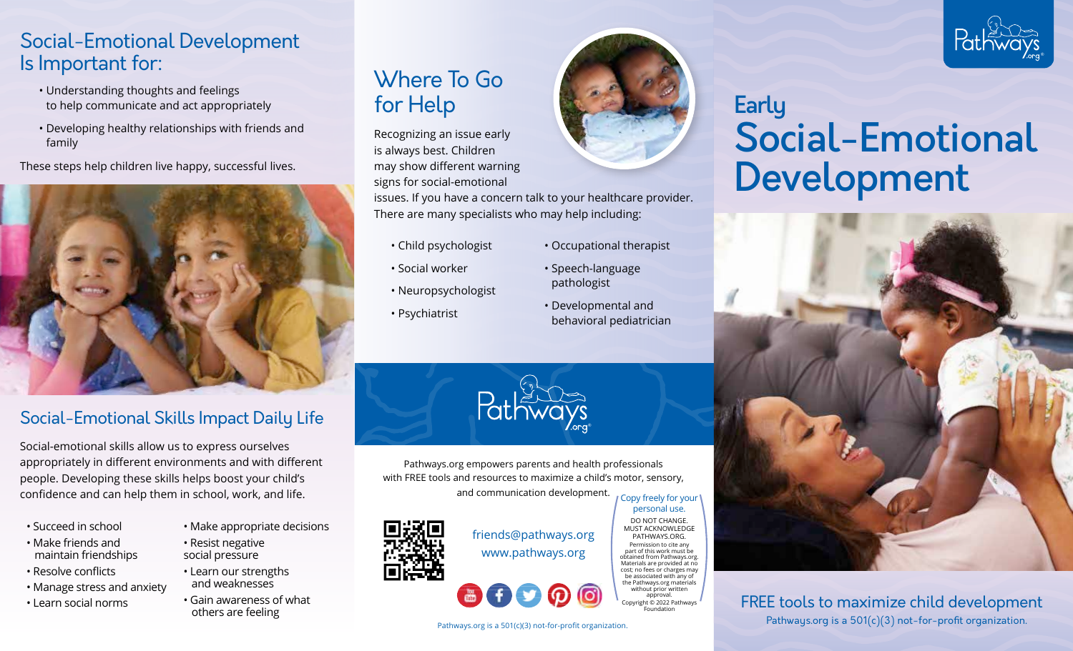## Social-Emotional Development Is Important for:

- Understanding thoughts and feelings to help communicate and act appropriately
- Developing healthy relationships with friends and family

These steps help children live happy, successful lives.



## Social-Emotional Skills Impact Daily Life

Social-emotional skills allow us to express ourselves appropriately in different environments and with different people. Developing these skills helps boost your child's confidence and can help them in school, work, and life.

- Succeed in school
- Make friends and maintain friendships
- Resolve conflicts
- Manage stress and anxiety
- Learn social norms
- Make appropriate decisions
- Resist negative social pressure
	- Learn our strengths and weaknesses
- Gain awareness of what others are feeling

## Where To Go for Help

Recognizing an issue early is always best. Children may show different warning signs for social-emotional issues. If you have a concern talk to your healthcare provider. There are many specialists who may help including:

- Child psychologist
- Social worker
- Neuropsychologist
- Psychiatrist



• Occupational therapist

• Speech-language pathologist

• Developmental and behavioral pediatrician

®

# **Early** Social-Emotional Development



FREE tools to maximize child development Pathways.org is a 501(c)(3) not-for-profit organization.



# friends@pathways.org

Pathways.org empowers parents and health professionals with FREE tools and resources to maximize a child's motor, sensory, and communication development.

www.pathways.org

#### part of this work must be obtained from Pathways.org. Materials are provided at no cost; no fees or charges may be associated with any of the Pathways.org materials without prior written approval. Copyright © 2022 Pathways **Foundation**

personal use. DO NOT CHANGE.

PATHWAYS.ORG. Permission to cite any

Pathways.org is a 501(c)(3) not-for-profit organization.